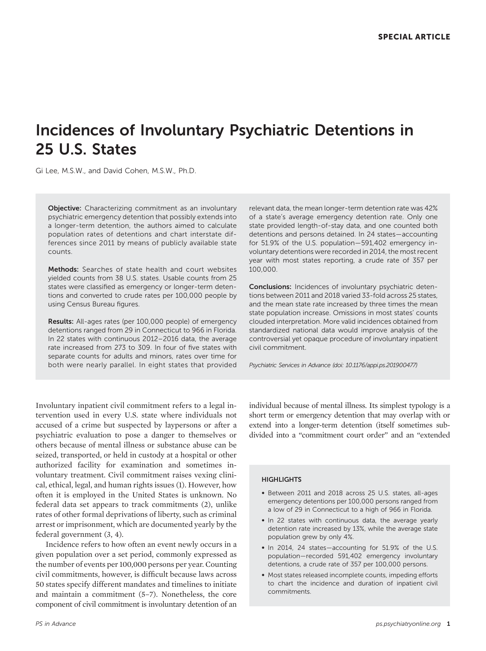# Incidences of Involuntary Psychiatric Detentions in 25 U.S. States

Gi Lee, M.S.W., and David Cohen, M.S.W., Ph.D.

**Objective:** Characterizing commitment as an involuntary psychiatric emergency detention that possibly extends into a longer-term detention, the authors aimed to calculate population rates of detentions and chart interstate differences since 2011 by means of publicly available state counts.

Methods: Searches of state health and court websites yielded counts from 38 U.S. states. Usable counts from 25 states were classified as emergency or longer-term detentions and converted to crude rates per 100,000 people by using Census Bureau figures.

Results: All-ages rates (per 100,000 people) of emergency detentions ranged from 29 in Connecticut to 966 in Florida. In 22 states with continuous 2012–2016 data, the average rate increased from 273 to 309. In four of five states with separate counts for adults and minors, rates over time for both were nearly parallel. In eight states that provided

relevant data, the mean longer-term detention rate was 42% of a state's average emergency detention rate. Only one state provided length-of-stay data, and one counted both detentions and persons detained. In 24 states—accounting for 51.9% of the U.S. population—591,402 emergency involuntary detentions were recorded in 2014, the most recent year with most states reporting, a crude rate of 357 per 100,000.

Conclusions: Incidences of involuntary psychiatric detentions between 2011 and 2018 varied 33-fold across 25 states, and the mean state rate increased by three times the mean state population increase. Omissions in most states' counts clouded interpretation. More valid incidences obtained from standardized national data would improve analysis of the controversial yet opaque procedure of involuntary inpatient civil commitment.

Psychiatric Services in Advance (doi: 10.1176/appi.ps.201900477)

Involuntary inpatient civil commitment refers to a legal intervention used in every U.S. state where individuals not accused of a crime but suspected by laypersons or after a psychiatric evaluation to pose a danger to themselves or others because of mental illness or substance abuse can be seized, transported, or held in custody at a hospital or other authorized facility for examination and sometimes involuntary treatment. Civil commitment raises vexing clinical, ethical, legal, and human rights issues (1). However, how often it is employed in the United States is unknown. No federal data set appears to track commitments (2), unlike rates of other formal deprivations of liberty, such as criminal arrest or imprisonment, which are documented yearly by the federal government (3, 4).

Incidence refers to how often an event newly occurs in a given population over a set period, commonly expressed as the number of events per 100,000 persons per year. Counting civil commitments, however, is difficult because laws across 50 states specify different mandates and timelines to initiate and maintain a commitment (5–7). Nonetheless, the core component of civil commitment is involuntary detention of an individual because of mental illness. Its simplest typology is a short term or emergency detention that may overlap with or extend into a longer-term detention (itself sometimes subdivided into a "commitment court order" and an "extended

## **HIGHLIGHTS**

- Between 2011 and 2018 across 25 U.S. states, all-ages emergency detentions per 100,000 persons ranged from a low of 29 in Connecticut to a high of 966 in Florida.
- In 22 states with continuous data, the average yearly detention rate increased by 13%, while the average state population grew by only 4%.
- In 2014, 24 states—accounting for 51.9% of the U.S. population—recorded 591,402 emergency involuntary detentions, a crude rate of 357 per 100,000 persons.
- Most states released incomplete counts, impeding efforts to chart the incidence and duration of inpatient civil commitments.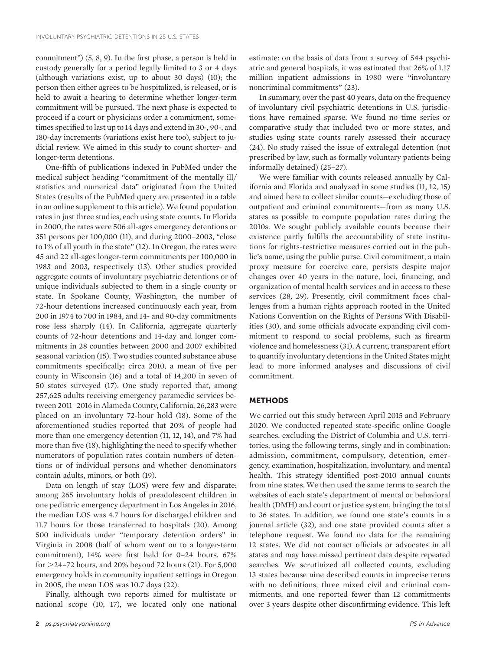commitment") (5, 8, 9). In the first phase, a person is held in custody generally for a period legally limited to 3 or 4 days (although variations exist, up to about 30 days) (10); the person then either agrees to be hospitalized, is released, or is held to await a hearing to determine whether longer-term commitment will be pursued. The next phase is expected to proceed if a court or physicians order a commitment, sometimes specified to last up to 14 days and extend in 30-, 90-, and 180-day increments (variations exist here too), subject to judicial review. We aimed in this study to count shorter- and longer-term detentions.

One-fifth of publications indexed in PubMed under the medical subject heading "commitment of the mentally ill/ statistics and numerical data" originated from the United States (results of the PubMed query are presented in a table in an online supplement to this article). We found population rates in just three studies, each using state counts. In Florida in 2000, the rates were 506 all-ages emergency detentions or 351 persons per 100,000 (11), and during 2000–2003, "close to 1% of all youth in the state" (12). In Oregon, the rates were 45 and 22 all-ages longer-term commitments per 100,000 in 1983 and 2003, respectively (13). Other studies provided aggregate counts of involuntary psychiatric detentions or of unique individuals subjected to them in a single county or state. In Spokane County, Washington, the number of 72-hour detentions increased continuously each year, from 200 in 1974 to 700 in 1984, and 14- and 90-day commitments rose less sharply (14). In California, aggregate quarterly counts of 72-hour detentions and 14-day and longer commitments in 28 counties between 2000 and 2007 exhibited seasonal variation (15). Two studies counted substance abuse commitments specifically: circa 2010, a mean of five per county in Wisconsin (16) and a total of 14,200 in seven of 50 states surveyed (17). One study reported that, among 257,625 adults receiving emergency paramedic services between 2011–2016 in Alameda County, California, 26,283 were placed on an involuntary 72-hour hold (18). Some of the aforementioned studies reported that 20% of people had more than one emergency detention (11, 12, 14), and 7% had more than five (18), highlighting the need to specify whether numerators of population rates contain numbers of detentions or of individual persons and whether denominators contain adults, minors, or both (19).

Data on length of stay (LOS) were few and disparate: among 265 involuntary holds of preadolescent children in one pediatric emergency department in Los Angeles in 2016, the median LOS was 4.7 hours for discharged children and 11.7 hours for those transferred to hospitals (20). Among 500 individuals under "temporary detention orders" in Virginia in 2008 (half of whom went on to a longer-term commitment), 14% were first held for 0–24 hours, 67% for  $>$  24–72 hours, and 20% beyond 72 hours (21). For 5,000 emergency holds in community inpatient settings in Oregon in 2005, the mean LOS was 10.7 days (22).

Finally, although two reports aimed for multistate or national scope (10, 17), we located only one national

estimate: on the basis of data from a survey of 544 psychiatric and general hospitals, it was estimated that 26% of 1.17 million inpatient admissions in 1980 were "involuntary noncriminal commitments" (23).

In summary, over the past 40 years, data on the frequency of involuntary civil psychiatric detentions in U.S. jurisdictions have remained sparse. We found no time series or comparative study that included two or more states, and studies using state counts rarely assessed their accuracy (24). No study raised the issue of extralegal detention (not prescribed by law, such as formally voluntary patients being informally detained) (25–27).

We were familiar with counts released annually by California and Florida and analyzed in some studies (11, 12, 15) and aimed here to collect similar counts—excluding those of outpatient and criminal commitments—from as many U.S. states as possible to compute population rates during the 2010s. We sought publicly available counts because their existence partly fulfills the accountability of state institutions for rights-restrictive measures carried out in the public's name, using the public purse. Civil commitment, a main proxy measure for coercive care, persists despite major changes over 40 years in the nature, loci, financing, and organization of mental health services and in access to these services (28, 29). Presently, civil commitment faces challenges from a human rights approach rooted in the United Nations Convention on the Rights of Persons With Disabilities (30), and some officials advocate expanding civil commitment to respond to social problems, such as firearm violence and homelessness (31). A current, transparent effort to quantify involuntary detentions in the United States might lead to more informed analyses and discussions of civil commitment.

# **METHODS**

We carried out this study between April 2015 and February 2020. We conducted repeated state-specific online Google searches, excluding the District of Columbia and U.S. territories, using the following terms, singly and in combination: admission, commitment, compulsory, detention, emergency, examination, hospitalization, involuntary, and mental health. This strategy identified post-2010 annual counts from nine states. We then used the same terms to search the websites of each state's department of mental or behavioral health (DMH) and court or justice system, bringing the total to 36 states. In addition, we found one state's counts in a journal article (32), and one state provided counts after a telephone request. We found no data for the remaining 12 states. We did not contact officials or advocates in all states and may have missed pertinent data despite repeated searches. We scrutinized all collected counts, excluding 13 states because nine described counts in imprecise terms with no definitions, three mixed civil and criminal commitments, and one reported fewer than 12 commitments over 3 years despite other disconfirming evidence. This left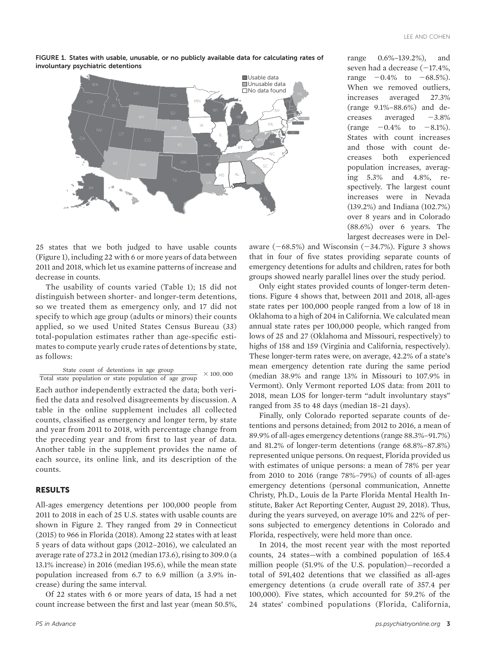



25 states that we both judged to have usable counts (Figure 1), including 22 with 6 or more years of data between 2011 and 2018, which let us examine patterns of increase and decrease in counts.

The usability of counts varied (Table 1); 15 did not distinguish between shorter- and longer-term detentions, so we treated them as emergency only, and 17 did not specify to which age group (adults or minors) their counts applied, so we used United States Census Bureau (33) total-population estimates rather than age-specific estimates to compute yearly crude rates of detentions by state, as follows:

State count of detentions in age group Total state population or state population of age group  $\times 100,000$ 

Each author independently extracted the data; both verified the data and resolved disagreements by discussion. A table in the online supplement includes all collected counts, classified as emergency and longer term, by state and year from 2011 to 2018, with percentage change from the preceding year and from first to last year of data. Another table in the supplement provides the name of each source, its online link, and its description of the counts.

### RESULTS

All-ages emergency detentions per 100,000 people from 2011 to 2018 in each of 25 U.S. states with usable counts are shown in Figure 2. They ranged from 29 in Connecticut (2015) to 966 in Florida (2018). Among 22 states with at least 5 years of data without gaps (2012–2016), we calculated an average rate of 273.2 in 2012 (median 173.6), rising to 309.0 (a 13.1% increase) in 2016 (median 195.6), while the mean state population increased from 6.7 to 6.9 million (a 3.9% increase) during the same interval.

Of 22 states with 6 or more years of data, 15 had a net count increase between the first and last year (mean 50.5%,

range 0.6%–139.2%), and seven had a decrease  $(-17.4%$ , range  $-0.4\%$  to  $-68.5\%$ ). When we removed outliers, increases averaged 27.3% (range 9.1%–88.6%) and decreases averaged  $-3.8\%$ (range  $-0.4\%$  to  $-8.1\%$ ). States with count increases and those with count decreases both experienced population increases, averaging 5.3% and 4.8%, respectively. The largest count increases were in Nevada (139.2%) and Indiana (102.7%) over 8 years and in Colorado (88.6%) over 6 years. The largest decreases were in Del-

aware  $(-68.5%)$  and Wisconsin  $(-34.7%)$ . Figure 3 shows that in four of five states providing separate counts of emergency detentions for adults and children, rates for both groups showed nearly parallel lines over the study period.

Only eight states provided counts of longer-term detentions. Figure 4 shows that, between 2011 and 2018, all-ages state rates per 100,000 people ranged from a low of 18 in Oklahoma to a high of 204 in California. We calculated mean annual state rates per 100,000 people, which ranged from lows of 25 and 27 (Oklahoma and Missouri, respectively) to highs of 158 and 159 (Virginia and California, respectively). These longer-term rates were, on average, 42.2% of a state's mean emergency detention rate during the same period (median 38.9% and range 13% in Missouri to 107.9% in Vermont). Only Vermont reported LOS data: from 2011 to 2018, mean LOS for longer-term "adult involuntary stays" ranged from 35 to 48 days (median 18–21 days).

Finally, only Colorado reported separate counts of detentions and persons detained; from 2012 to 2016, a mean of 89.9% of all-ages emergency detentions (range 88.3%–91.7%) and 81.2% of longer-term detentions (range 68.8%–87.8%) represented unique persons. On request, Florida provided us with estimates of unique persons: a mean of 78% per year from 2010 to 2016 (range 78%–79%) of counts of all-ages emergency detentions (personal communication, Annette Christy, Ph.D., Louis de la Parte Florida Mental Health Institute, Baker Act Reporting Center, August 29, 2018). Thus, during the years surveyed, on average 10% and 22% of persons subjected to emergency detentions in Colorado and Florida, respectively, were held more than once.

In 2014, the most recent year with the most reported counts, 24 states—with a combined population of 165.4 million people (51.9% of the U.S. population)—recorded a total of 591,402 detentions that we classified as all-ages emergency detentions (a crude overall rate of 357.4 per 100,000). Five states, which accounted for 59.2% of the 24 states' combined populations (Florida, California,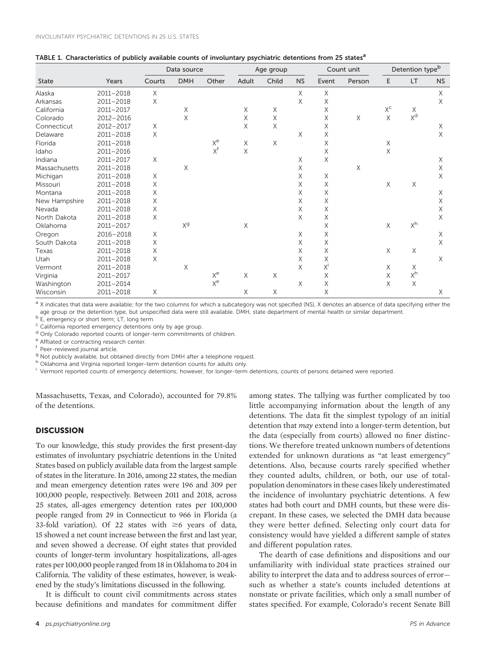| <b>State</b>  | Years     | Data source |                |       | Age group |       |           | Count unit |        | Detention type <sup>b</sup> |       |           |
|---------------|-----------|-------------|----------------|-------|-----------|-------|-----------|------------|--------|-----------------------------|-------|-----------|
|               |           | Courts      | <b>DMH</b>     | Other | Adult     | Child | <b>NS</b> | Event      | Person | E                           | LT    | <b>NS</b> |
| Alaska        | 2011-2018 | X           |                |       |           |       | X         | X          |        |                             |       | X         |
| Arkansas      | 2011-2018 | X           |                |       |           |       | X         | X          |        |                             |       | X         |
| California    | 2011-2017 |             | X              |       | X         | Χ     |           | X          |        | $X^{\mathsf{C}}$            | X     |           |
| Colorado      | 2012-2016 |             | X              |       | Χ         | Χ     |           | Χ          | X      | Χ                           | $X^d$ |           |
| Connecticut   | 2012-2017 | X           |                |       | Χ         | X     |           | Χ          |        |                             |       | Χ         |
| Delaware      | 2011-2018 | Χ           |                |       |           |       | Χ         | Χ          |        |                             |       | X         |
| Florida       | 2011-2018 |             |                | $X^e$ | Χ         | X     |           | X          |        | X                           |       |           |
| Idaho         | 2011-2016 |             |                | $X^f$ | Χ         |       |           | Χ          |        | Χ                           |       |           |
| Indiana       | 2011-2017 | X           |                |       |           |       | Χ         | X          |        |                             |       | X         |
| Massachusetts | 2011-2018 |             | X              |       |           |       | Χ         |            | X      |                             |       | X         |
| Michigan      | 2011-2018 | Χ           |                |       |           |       | Χ         | Χ          |        |                             |       | X         |
| Missouri      | 2011-2018 | Χ           |                |       |           |       | Χ         | Χ          |        | Χ                           | Χ     |           |
| Montana       | 2011-2018 | Χ           |                |       |           |       | Χ         | Χ          |        |                             |       | X         |
| New Hampshire | 2011-2018 | X           |                |       |           |       | Χ         | Χ          |        |                             |       | X         |
| Nevada        | 2011-2018 | Χ           |                |       |           |       | Χ         | X          |        |                             |       | Χ         |
| North Dakota  | 2011-2018 | Χ           |                |       |           |       | X         | Χ          |        |                             |       | X         |
| Oklahoma      | 2011-2017 |             | X <sub>a</sub> |       | X         |       |           | X          |        | X                           | $X^h$ |           |
| Oregon        | 2016-2018 | Χ           |                |       |           |       | Χ         | Χ          |        |                             |       | Χ         |
| South Dakota  | 2011-2018 | Χ           |                |       |           |       | Χ         | Χ          |        |                             |       | X         |
| Texas         | 2011-2018 | Χ           |                |       |           |       | Χ         | Χ          |        | X                           | Χ     |           |
| Utah          | 2011-2018 | X           |                |       |           |       | Χ         | Χ          |        |                             |       | X         |
| Vermont       | 2011-2018 |             | X              |       |           |       | Χ         | $X^i$      |        | Χ                           | Χ     |           |
| Virginia      | 2011-2017 |             |                | $X^e$ | X         | X     |           | X          |        | Χ                           | $X^h$ |           |
| Washington    | 2011-2014 |             |                | $X^e$ |           |       | X         | X          |        | X                           | X     |           |
| Wisconsin     | 2011-2018 | Χ           |                |       | X         | Χ     |           | Χ          |        |                             |       | Χ         |

a X indicates that data were available; for the two columns for which a subcategory was not specified (NS), X denotes an absence of data specifying either the age group or the detention type, but unspecified data were still available. DMH, state department of mental health or similar department.  $\rm ^b$  E, emergency or short term; LT, long term.

<sup>c</sup> California reported emergency detentions only by age group.

<sup>d</sup> Only Colorado reported counts of longer-term commitments of children.

e Affliated or contracting research center.<br>f Peer-reviewed journal article.

<sup>g</sup> Not publicly available, but obtained directly from DMH after a telephone request.

h Oklahoma and Virginia reported longer-term detention counts for adults only.

<sup>i</sup> Vermont reported counts of emergency detentions; however, for longer-term detentions, counts of persons detained were reported.

Massachusetts, Texas, and Colorado), accounted for 79.8% of the detentions.

# **DISCUSSION**

To our knowledge, this study provides the first present-day estimates of involuntary psychiatric detentions in the United States based on publicly available data from the largest sample of states in the literature. In 2016, among 22 states, the median and mean emergency detention rates were 196 and 309 per 100,000 people, respectively. Between 2011 and 2018, across 25 states, all-ages emergency detention rates per 100,000 people ranged from 29 in Connecticut to 966 in Florida (a 33-fold variation). Of 22 states with  $\geq$ 6 years of data, 15 showed a net count increase between the first and last year, and seven showed a decrease. Of eight states that provided counts of longer-term involuntary hospitalizations, all-ages rates per 100,000 people ranged from 18 in Oklahoma to 204 in California. The validity of these estimates, however, is weakened by the study's limitations discussed in the following.

It is difficult to count civil commitments across states because definitions and mandates for commitment differ among states. The tallying was further complicated by too little accompanying information about the length of any detentions. The data fit the simplest typology of an initial detention that may extend into a longer-term detention, but the data (especially from courts) allowed no finer distinctions. We therefore treated unknown numbers of detentions extended for unknown durations as "at least emergency" detentions. Also, because courts rarely specified whether they counted adults, children, or both, our use of totalpopulation denominators in these cases likely underestimated the incidence of involuntary psychiatric detentions. A few states had both court and DMH counts, but these were discrepant. In these cases, we selected the DMH data because they were better defined. Selecting only court data for consistency would have yielded a different sample of states and different population rates.

The dearth of case definitions and dispositions and our unfamiliarity with individual state practices strained our ability to interpret the data and to address sources of error such as whether a state's counts included detentions at nonstate or private facilities, which only a small number of states specified. For example, Colorado's recent Senate Bill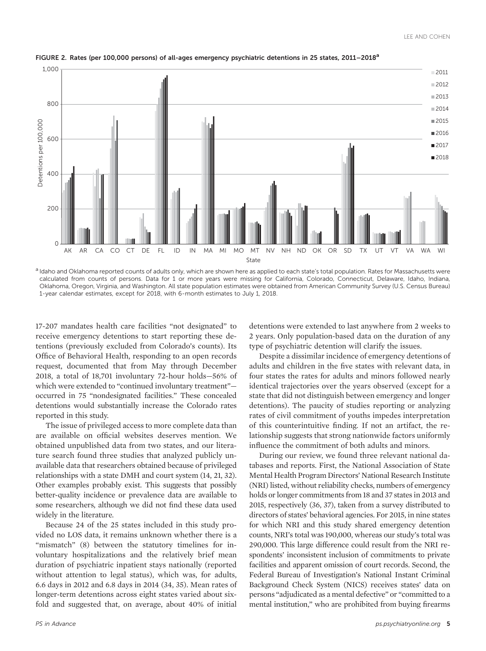

FIGURE 2. Rates (per 100,000 persons) of all-ages emergency psychiatric detentions in 25 states, 2011–2018<sup>a</sup>

a Idaho and Oklahoma reported counts of adults only, which are shown here as applied to each state's total population. Rates for Massachusetts were calculated from counts of persons. Data for 1 or more years were missing for California, Colorado, Connecticut, Delaware, Idaho, Indiana, Oklahoma, Oregon, Virginia, and Washington. All state population estimates were obtained from American Community Survey (U.S. Census Bureau) 1-year calendar estimates, except for 2018, with 6-month estimates to July 1, 2018.

17-207 mandates health care facilities "not designated" to receive emergency detentions to start reporting these detentions (previously excluded from Colorado's counts). Its Office of Behavioral Health, responding to an open records request, documented that from May through December 2018, a total of 18,701 involuntary 72-hour holds—56% of which were extended to "continued involuntary treatment" occurred in 75 "nondesignated facilities." These concealed detentions would substantially increase the Colorado rates reported in this study.

The issue of privileged access to more complete data than are available on official websites deserves mention. We obtained unpublished data from two states, and our literature search found three studies that analyzed publicly unavailable data that researchers obtained because of privileged relationships with a state DMH and court system (14, 21, 32). Other examples probably exist. This suggests that possibly better-quality incidence or prevalence data are available to some researchers, although we did not find these data used widely in the literature.

Because 24 of the 25 states included in this study provided no LOS data, it remains unknown whether there is a "mismatch" (8) between the statutory timelines for involuntary hospitalizations and the relatively brief mean duration of psychiatric inpatient stays nationally (reported without attention to legal status), which was, for adults, 6.6 days in 2012 and 6.8 days in 2014 (34, 35). Mean rates of longer-term detentions across eight states varied about sixfold and suggested that, on average, about 40% of initial

detentions were extended to last anywhere from 2 weeks to 2 years. Only population-based data on the duration of any type of psychiatric detention will clarify the issues.

Despite a dissimilar incidence of emergency detentions of adults and children in the five states with relevant data, in four states the rates for adults and minors followed nearly identical trajectories over the years observed (except for a state that did not distinguish between emergency and longer detentions). The paucity of studies reporting or analyzing rates of civil commitment of youths impedes interpretation of this counterintuitive finding. If not an artifact, the relationship suggests that strong nationwide factors uniformly influence the commitment of both adults and minors.

During our review, we found three relevant national databases and reports. First, the National Association of State Mental Health Program Directors' National Research Institute (NRI) listed, without reliability checks, numbers of emergency holds or longer commitments from 18 and 37 states in 2013 and 2015, respectively (36, 37), taken from a survey distributed to directors of states' behavioral agencies. For 2015, in nine states for which NRI and this study shared emergency detention counts, NRI's total was 190,000, whereas our study's total was 290,000. This large difference could result from the NRI respondents' inconsistent inclusion of commitments to private facilities and apparent omission of court records. Second, the Federal Bureau of Investigation's National Instant Criminal Background Check System (NICS) receives states' data on persons "adjudicated as a mental defective" or "committed to a mental institution," who are prohibited from buying firearms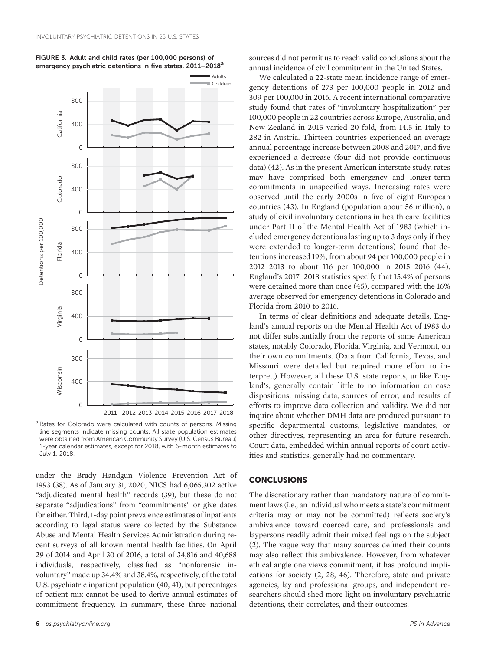

#### FIGURE 3. Adult and child rates (per 100,000 persons) of emergency psychiatric detentions in five states, 2011-2018<sup>a</sup>

a Rates for Colorado were calculated with counts of persons. Missing line segments indicate missing counts. All state population estimates were obtained from American Community Survey (U.S. Census Bureau) 1-year calendar estimates, except for 2018, with 6-month estimates to July 1, 2018.

under the Brady Handgun Violence Prevention Act of 1993 (38). As of January 31, 2020, NICS had 6,065,302 active "adjudicated mental health" records (39), but these do not separate "adjudications" from "commitments" or give dates for either. Third, 1-day point prevalence estimates of inpatients according to legal status were collected by the Substance Abuse and Mental Health Services Administration during recent surveys of all known mental health facilities. On April 29 of 2014 and April 30 of 2016, a total of 34,816 and 40,688 individuals, respectively, classified as "nonforensic involuntary" made up 34.4% and 38.4%, respectively, of the total U.S. psychiatric inpatient population (40, 41), but percentages of patient mix cannot be used to derive annual estimates of commitment frequency. In summary, these three national

sources did not permit us to reach valid conclusions about the annual incidence of civil commitment in the United States.

We calculated a 22-state mean incidence range of emergency detentions of 273 per 100,000 people in 2012 and 309 per 100,000 in 2016. A recent international comparative study found that rates of "involuntary hospitalization" per 100,000 people in 22 countries across Europe, Australia, and New Zealand in 2015 varied 20-fold, from 14.5 in Italy to 282 in Austria. Thirteen countries experienced an average annual percentage increase between 2008 and 2017, and five experienced a decrease (four did not provide continuous data) (42). As in the present American interstate study, rates may have comprised both emergency and longer-term commitments in unspecified ways. Increasing rates were observed until the early 2000s in five of eight European countries (43). In England (population about 56 million), a study of civil involuntary detentions in health care facilities under Part II of the Mental Health Act of 1983 (which included emergency detentions lasting up to 3 days only if they were extended to longer-term detentions) found that detentions increased 19%, from about 94 per 100,000 people in 2012–2013 to about 116 per 100,000 in 2015–2016 (44). England's 2017–2018 statistics specify that 15.4% of persons were detained more than once (45), compared with the 16% average observed for emergency detentions in Colorado and Florida from 2010 to 2016.

In terms of clear definitions and adequate details, England's annual reports on the Mental Health Act of 1983 do not differ substantially from the reports of some American states, notably Colorado, Florida, Virginia, and Vermont, on their own commitments. (Data from California, Texas, and Missouri were detailed but required more effort to interpret.) However, all these U.S. state reports, unlike England's, generally contain little to no information on case dispositions, missing data, sources of error, and results of efforts to improve data collection and validity. We did not inquire about whether DMH data are produced pursuant to specific departmental customs, legislative mandates, or other directives, representing an area for future research. Court data, embedded within annual reports of court activities and statistics, generally had no commentary.

# **CONCLUSIONS**

The discretionary rather than mandatory nature of commitment laws (i.e., an individual who meets a state's commitment criteria may or may not be committed) reflects society's ambivalence toward coerced care, and professionals and laypersons readily admit their mixed feelings on the subject (2). The vague way that many sources defined their counts may also reflect this ambivalence. However, from whatever ethical angle one views commitment, it has profound implications for society (2, 28, 46). Therefore, state and private agencies, lay and professional groups, and independent researchers should shed more light on involuntary psychiatric detentions, their correlates, and their outcomes.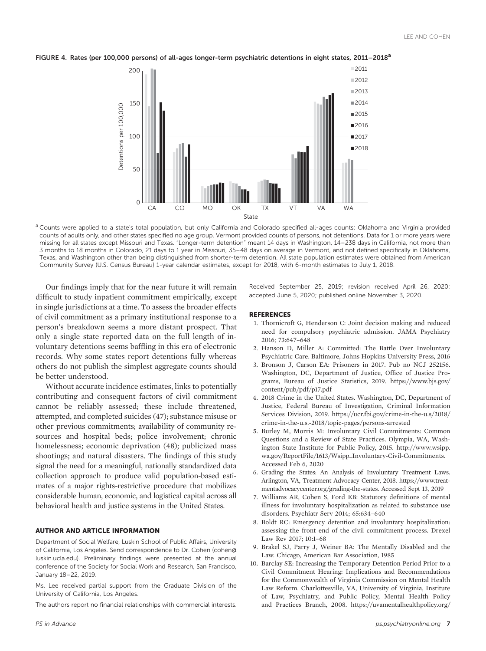

FIGURE 4. Rates (per 100,000 persons) of all-ages longer-term psychiatric detentions in eight states, 2011–2018<sup>a</sup>

<sup>a</sup> Counts were applied to a state's total population, but only California and Colorado specified all-ages counts; Oklahoma and Virginia provided counts of adults only, and other states specified no age group. Vermont provided counts of persons, not detentions. Data for 1 or more years were missing for all states except Missouri and Texas. "Longer-term detention" meant 14 days in Washington, 14–238 days in California, not more than 3 months to 18 months in Colorado, 21 days to 1 year in Missouri, 35–48 days on average in Vermont, and not defined specifically in Oklahoma, Texas, and Washington other than being distinguished from shorter-term detention. All state population estimates were obtained from American Community Survey (U.S. Census Bureau) 1-year calendar estimates, except for 2018, with 6-month estimates to July 1, 2018.

Our findings imply that for the near future it will remain difficult to study inpatient commitment empirically, except in single jurisdictions at a time. To assess the broader effects of civil commitment as a primary institutional response to a person's breakdown seems a more distant prospect. That only a single state reported data on the full length of involuntary detentions seems baffling in this era of electronic records. Why some states report detentions fully whereas others do not publish the simplest aggregate counts should be better understood.

Without accurate incidence estimates, links to potentially contributing and consequent factors of civil commitment cannot be reliably assessed; these include threatened, attempted, and completed suicides (47); substance misuse or other previous commitments; availability of community resources and hospital beds; police involvement; chronic homelessness; economic deprivation (48); publicized mass shootings; and natural disasters. The findings of this study signal the need for a meaningful, nationally standardized data collection approach to produce valid population-based estimates of a major rights-restrictive procedure that mobilizes considerable human, economic, and logistical capital across all behavioral health and justice systems in the United States.

#### AUTHOR AND ARTICLE INFORMATION

Department of Social Welfare, Luskin School of Public Affairs, University of California, Los Angeles. Send correspondence to Dr. Cohen [\(cohen@](mailto:cohen@luskin.ucla.edu) [luskin.ucla.edu\)](mailto:cohen@luskin.ucla.edu). Preliminary findings were presented at the annual conference of the Society for Social Work and Research, San Francisco, January 18–22, 2019.

Ms. Lee received partial support from the Graduate Division of the University of California, Los Angeles.

The authors report no financial relationships with commercial interests.

Received September 25, 2019; revision received April 26, 2020; accepted June 5, 2020; published online November 3, 2020.

#### REFERENCES

- 1. Thornicroft G, Henderson C: Joint decision making and reduced need for compulsory psychiatric admission. JAMA Psychiatry 2016; 73:647–648
- 2. Hanson D, Miller A: Committed: The Battle Over Involuntary Psychiatric Care. Baltimore, Johns Hopkins University Press, 2016
- 3. Bronson J, Carson EA: Prisoners in 2017. Pub no NCJ 252156. Washington, DC, Department of Justice, Office of Justice Programs, Bureau of Justice Statistics, 2019. [https://www.bjs.gov/](https://www.bjs.gov/content/pub/pdf/p17.pdf) [content/pub/pdf/p17.pdf](https://www.bjs.gov/content/pub/pdf/p17.pdf)
- 4. 2018 Crime in the United States. Washington, DC, Department of Justice, Federal Bureau of Investigation, Criminal Information Services Division, 2019. [https://ucr.fbi.gov/crime-in-the-u.s/2018/](https://ucr.fbi.gov/crime-in-the-u.s/2018/crime-in-the-u.s.-2018/topic-pages/persons-arrested) [crime-in-the-u.s.-2018/topic-pages/persons-arrested](https://ucr.fbi.gov/crime-in-the-u.s/2018/crime-in-the-u.s.-2018/topic-pages/persons-arrested)
- 5. Burley M, Morris M: Involuntary Civil Commitments: Common Questions and a Review of State Practices. Olympia, WA, Washington State Institute for Public Policy, 2015. [http://www.wsipp.](http://www.wsipp.wa.gov/ReportFile/1613/Wsipp_Involuntary-Civil-Commitments) [wa.gov/ReportFile/1613/Wsipp\\_Involuntary-Civil-Commitments](http://www.wsipp.wa.gov/ReportFile/1613/Wsipp_Involuntary-Civil-Commitments). Accessed Feb 6, 2020
- 6. Grading the States: An Analysis of Involuntary Treatment Laws. Arlington, VA, Treatment Advocacy Center, 2018. [https://www.treat](https://www.treatmentadvocacycenter.org/grading-the-states)[mentadvocacycenter.org/grading-the-states.](https://www.treatmentadvocacycenter.org/grading-the-states) Accessed Sept 13, 2019
- 7. Williams AR, Cohen S, Ford EB: Statutory definitions of mental illness for involuntary hospitalization as related to substance use disorders. Psychiatr Serv 2014; 65:634–640
- 8. Boldt RC: Emergency detention and involuntary hospitalization: assessing the front end of the civil commitment process. Drexel Law Rev 2017; 10:1–68
- 9. Brakel SJ, Parry J, Weiner BA: The Mentally Disabled and the Law. Chicago, American Bar Association, 1985
- 10. Barclay SE: Increasing the Temporary Detention Period Prior to a Civil Commitment Hearing: Implications and Recommendations for the Commonwealth of Virginia Commission on Mental Health Law Reform. Charlottesville, VA, University of Virginia, Institute of Law, Psychiatry, and Public Policy, Mental Health Policy and Practices Branch, 2008. [https://uvamentalhealthpolicy.org/](https://uvamentalhealthpolicy.org/documents/2017/2/17/barclay-report-on-lengthening-tdo-period-2008)